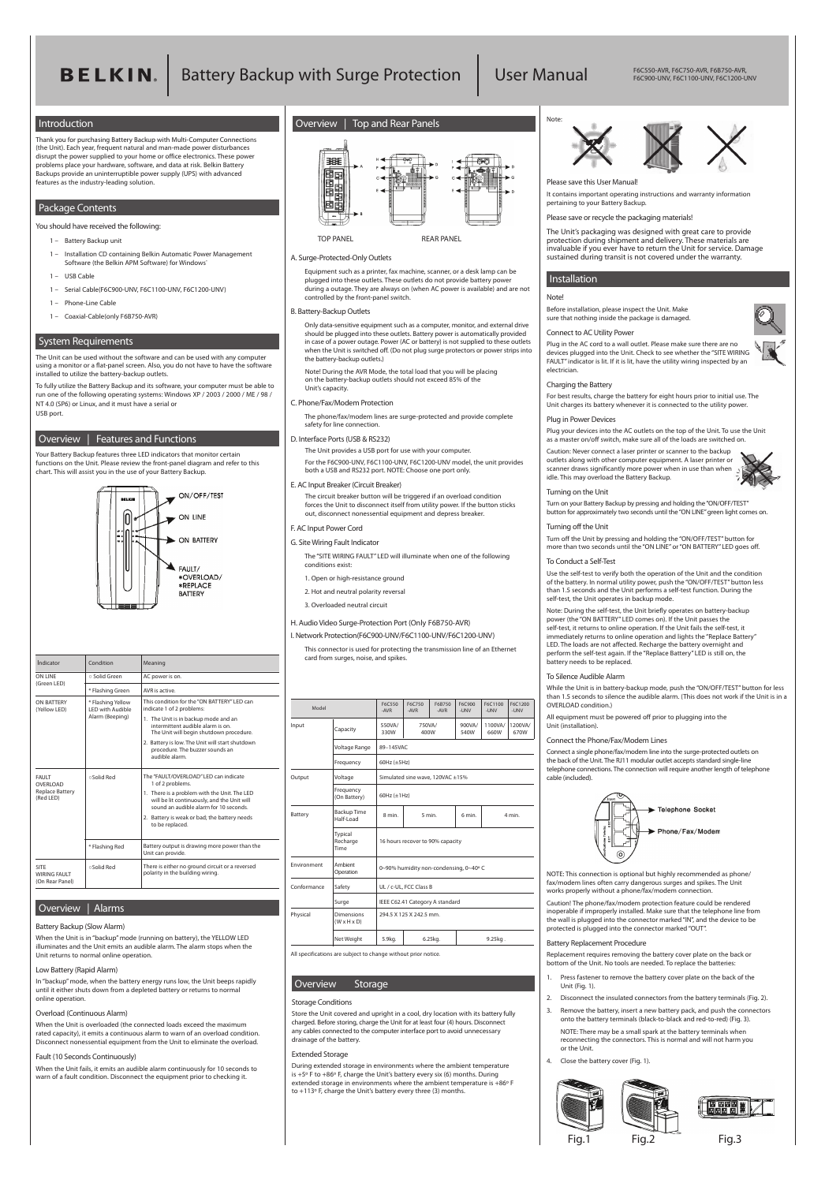# **BELKIN**. Battery Backup with Surge Protection | User Manual

(On Rear Panel)

#### **Indicator** | Condition | Meaning **ON LINE** ○ Solid Green AC power is on. (Green LED)  $*$  Flashing Green  $\vert$  AVR is active. **ON BATTERY \*** Flashing Yellow<br>(Yellow LED) LED with Audible LED with Audible Alarm (Beeping) **FAULT** ○Solid Red **OVERLOAD** Replace Battery (Red LED) \* Flashing Red **SITE** ○Solid Red **WIRING FAULT** This condition for the "ON BATTERY" LED can indicate 1 of 2 problems: 1. The Unit is in backup mode and an intermittent audible alarm is on. The Unit will begin shutdown procedure. 2. Battery is low. The Unit will start shutdown procedure. The buzzer sounds an audible alarm. The "FAULT/OVERLOAD" LED can indicate 1 of 2 problems. 1. There is a problem with the Unit. The LED will be lit continuously, and the Unit will sound an audible alarm for 10 seconds. 2. Battery is weak or bad; the battery needs to be replaced. Battery output is drawing more power than the Unit can provide. There is either no ground circuit or a reversed polarity in the building wiring.

| Model       |                                 | F6C550<br>-AVR                        | F6C750<br>-AVR | F6B750<br>-AVR | F6C900<br>-UNV | F6C1100<br>-UNV | F6C1200<br>-UNV |
|-------------|---------------------------------|---------------------------------------|----------------|----------------|----------------|-----------------|-----------------|
| Input       | Capacity                        | 550VA/<br>330W                        | 750VA/<br>400W |                | 900VA/<br>540W | 1100VA/<br>660W | 1200VA/<br>670W |
|             | Voltage Range                   | 89-145VAC                             |                |                |                |                 |                 |
|             | Frequency                       | 60Hz $(\pm 5$ Hz)                     |                |                |                |                 |                 |
| Output      | Voltage                         | Simulated sine wave, 120VAC ±15%      |                |                |                |                 |                 |
|             | Frequency<br>(On Battery)       | 60Hz $(\pm 1$ Hz)                     |                |                |                |                 |                 |
| Battery     | <b>Backup Time</b><br>Half-Load | 8 min.                                |                | 5 min.         | 6 min.         |                 | 4 min.          |
|             | Typical<br>Recharge<br>Time     | 16 hours recover to 90% capacity      |                |                |                |                 |                 |
| Environment | Ambient<br>Operation            | 0~90% humidity non-condensing, 0~40°C |                |                |                |                 |                 |
| Conformance | Safety                          | UL / c-UL, FCC Class B                |                |                |                |                 |                 |

|          | Surge                                        | IEEE C62.41 Category A standard |         |            |  |
|----------|----------------------------------------------|---------------------------------|---------|------------|--|
| Physical | <b>Dimensions</b><br>$(W \times H \times D)$ | 294.5 X 125 X 242.5 mm.         |         |            |  |
|          | Net Weight                                   | 5.9kg.                          | 6.25kg. | $9.25$ kg. |  |

All specifications are subject to change without prior notice.

F6C550-AVR, F6C750-AVR, F6B750-AVR, F6C900-UNV, F6C1100-UNV, F6C1200-UNV



# **Introduction**

Thank you for purchasing Battery Backup with Multi-Computer Connections (the Unit). Each year, frequent natural and man-made power disturbances disrupt the power supplied to your home or office electronics. These power problems place your hardware, software, and data at risk. Belkin Battery Backups provide an uninterruptible power supply (UPS) with advanced features as the industry-leading solution.

# **Package Contents**

**You should have received the following:**

- 1 Battery Backup unit
- 1 Installation CD containing Belkin Automatic Power Management Software (the Belkin APM Software) for Windows
- 1 USB Cable
- 1 Serial Cable(F6C900-UNV, F6C1100-UNV, F6C1200-UNV)
- 1 Phone-Line Cable
- 1 Coaxial-Cable(only F6B750-AVR)

# **System Requirements**

The Unit can be used without the software and can be used with any computer using a monitor or a flat-panel screen. Also, you do not have to have the software installed to utilize the battery-backup outlets.

To fully utilize the Battery Backup and its software, your computer must be able to run one of the following operating systems: **Windows XP / 2003 / 2000 / ME / 98 / NT 4.0 (SP6)** or Linux, and it must have a serial or USB port.

# **Overview | Features and Functions**

Your Battery Backup features three LED indicators that monitor certain functions on the Unit. Please review the front-panel diagram and refer to this chart. This will assist you in the use of your Battery Backup.



# **Overview | Alarms**

# **Battery Backup (Slow Alarm)**

When the Unit is in "backup" mode (running on battery), the YELLOW LED illuminates and the Unit emits an audible alarm. The alarm stops when the Unit returns to normal online operation.

# **Low Battery (Rapid Alarm)**

In "backup" mode, when the battery energy runs low, the Unit beeps rapidly until it either shuts down from a depleted battery or returns to normal online operation.

# **Overload (Continuous Alarm)**

When the Unit is overloaded (the connected loads exceed the maximum rated capacity), it emits a continuous alarm to warn of an overload condition. Disconnect nonessential equipment from the Unit to eliminate the overload.

# **Fault (10 Seconds Continuously)**

When the Unit fails, it emits an audible alarm continuously for 10 seconds to warn of a fault condition. Disconnect the equipment prior to checking it.

# **Installation**

# **Note!**

Before installation, please inspect the Unit. Make sure that nothing inside the package is damaged.

#### **Connect to AC Utility Power**

Plug in the AC cord to a wall outlet. Please make sure there are no devices plugged into the Unit. Check to see whether the "SITE WIRING FAULT" indicator is lit. If it is lit, have the utility wiring inspected by an electrician.

# **Charging the Battery**

For best results, charge the battery for eight hours prior to initial use. The Unit charges its battery whenever it is connected to the utility power.

#### **Plug in Power Devices**

Plug your devices into the AC outlets on the top of the Unit. To use the Unit as a master on/off switch, make sure all of the loads are switched on.

**Caution: Never connect a laser printer or scanner to the backup outlets along with other computer equipment. A laser printer or scanner draws significantly more power when in use than when idle. This may overload the Battery Backup.**



Store the Unit covered and upright in a cool, dry location with its battery fully charged. Before storing, charge the Unit for at least four (4) hours. Disconnect any cables connected to the computer interface port to avoid unnecessary drainage of the battery.

### **Turning on the Unit**

Turn on your Battery Backup by pressing and holding the "ON/OFF/TEST" button for approximately two seconds until the "ON LINE" green light comes on.

#### **Turning off the Unit**

Turn off the Unit by pressing and holding the "ON/OFF/TEST" button for more than two seconds until the "ON LINE" or "ON BATTERY" LED goes off.

#### **To Conduct a Self-Test**

Use the self-test to verify both the operation of the Unit and the condition of the battery. In normal utility power, push the "ON/OFF/TEST" button less than 1.5 seconds and the Unit performs a self-test function. During the self-test, the Unit operates in backup mode.

**Note: During the self-test, the Unit briefly operates on battery-backup power (the "ON BATTERY" LED comes on). If the Unit passes the self-test, it returns to online operation. If the Unit fails the self-test, it immediately returns to online operation and lights the "Replace Battery" LED. The loads are not affected. Recharge the battery overnight and perform the self-test again. If the "Replace Battery" LED is still on, the battery needs to be replaced.**

# **To Silence Audible Alarm**

While the Unit is in battery-backup mode, push the "ON/OFF/TEST" button for less than 1.5 seconds to silence the audible alarm. (This does not work if the Unit is in a OVERLOAD condition.)

All equipment must be powered off prior to plugging into the Unit (installation).

# **Connect the Phone/Fax/Modem Lines**

Connect a single phone/fax/modem line into the surge-protected outlets on the back of the Unit. The RJ11 modular outlet accepts standard single-line telephone connections. The connection will require another length of telephone cable (included).



**NOTE: This connection is optional but highly recommended as phone/ fax/modem lines often carry dangerous surges and spikes. The Unit works properly without a phone/fax/modem connection.**



**Caution!** The phone/fax/modem protection feature could be rendered inoperable if improperly installed. Make sure that the telephone line from the wall is plugged into the connector marked "IN", and the device to be protected is plugged into the connector marked "OUT".

# **Battery Replacement Procedure**

Replacement requires removing the battery cover plate on the back or bottom of the Unit. No tools are needed. To replace the batteries:

- **1.** Press fastener to remove the battery cover plate on the back of the Unit (Fig. 1).
- **2.** Disconnect the insulated connectors from the battery terminals (Fig. 2).
- **3.** Remove the battery, insert a new battery pack, and push the connectors onto the battery terminals (black-to-black and red-to-red) (Fig. 3).

 **NOTE:** There may be a small spark at the battery terminals when reconnecting the connectors. This is normal and will not harm you or the Unit.

**4.** Close the battery cover (Fig. 1).

#### **A. Surge-Protected-Only Outlets**

 Equipment such as a printer, fax machine, scanner, or a desk lamp can be plugged into these outlets. These outlets do not provide battery power during a outage. They are always on (when AC power is available) and are not controlled by the front-panel switch.

#### **B. Battery-Backup Outlets**

 Only data-sensitive equipment such as a computer, monitor, and external drive should be plugged into these outlets. Battery power is automatically provided in case of a power outage. Power (AC or battery) is not supplied to these outlets when the Unit is switched off. (Do not plug surge protectors or power strips into the battery-backup outlets.)

**Note! During the AVR Mode, the total load that you will be placing on the battery-backup outlets should not exceed 85% of the Unit's capacity.**

# **C. Phone/Fax/Modem Protection**

 The phone/fax/modem lines are surge-protected and provide complete safety for line connection.

# **D. Interface Ports (USB & RS232)**

 The Unit provides a USB port for use with your computer. For the F6C900-UNV, F6C1100-UNV, F6C1200-UNV model, the unit provides both a USB and RS232 port. **NOTE:** Choose one port only.

#### **E. AC Input Breaker (Circuit Breaker)**

The circuit breaker button will be triggered if an overload condition forces the Unit to disconnect itself from utility power. If the button sticks out, disconnect nonessential equipment and depress breaker.

# **F. AC Input Power Cord**

**G. Site Wiring Fault Indicator**

 The "SITE WIRING FAULT" LED will illuminate when one of the following conditions exist:

- 1. Open or high-resistance ground
- 2. Hot and neutral polarity reversal
- 3. Overloaded neutral circuit

### **H. Audio Video Surge-Protection Port** (Only F6B750-AVR)

**I. Network Protection(F6C900-UNV/F6C1100-UNV/F6C1200-UNV)**

 This connector is used for protecting the transmission line of an Ethernet card from surges, noise, and spikes.

# **Overview Storage**

# **Storage Conditions**

# **Extended Storage**

During extended storage in environments where the ambient temperature is +5º F to +86º F, charge the Unit's battery every six (6) months. During extended storage in environments where the ambient temperature is +86º F to +113º F, charge the Unit's battery every three (3) months.







**Please save this User Manual!**

It contains important operating instructions and warranty information pertaining to your Battery Backup.

## **Please save or recycle the packaging materials!**

The Unit's packaging was designed with great care to provide protection during shipment and delivery. These materials are invaluable if you ever have to return the Unit for service. Damage sustained during transit is not covered under the warranty.